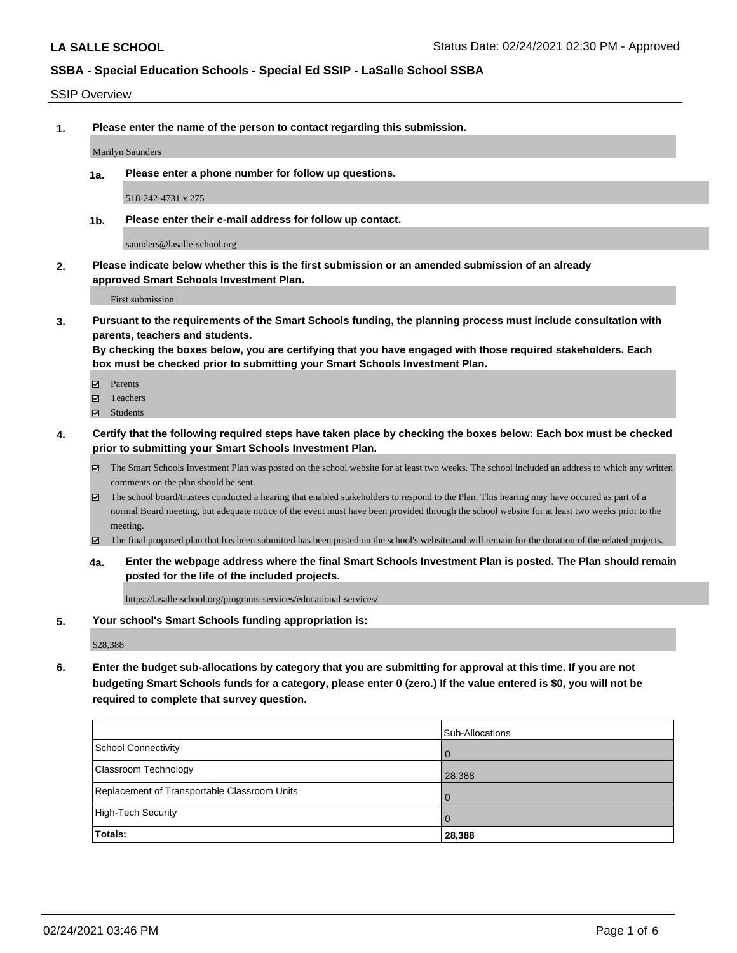#### SSIP Overview

**1. Please enter the name of the person to contact regarding this submission.**

Marilyn Saunders

**1a. Please enter a phone number for follow up questions.**

518-242-4731 x 275

**1b. Please enter their e-mail address for follow up contact.**

saunders@lasalle-school.org

**2. Please indicate below whether this is the first submission or an amended submission of an already approved Smart Schools Investment Plan.**

First submission

**3. Pursuant to the requirements of the Smart Schools funding, the planning process must include consultation with parents, teachers and students.**

**By checking the boxes below, you are certifying that you have engaged with those required stakeholders. Each box must be checked prior to submitting your Smart Schools Investment Plan.**

- Parents
- Teachers
- Students
- **4. Certify that the following required steps have taken place by checking the boxes below: Each box must be checked prior to submitting your Smart Schools Investment Plan.**
	- The Smart Schools Investment Plan was posted on the school website for at least two weeks. The school included an address to which any written comments on the plan should be sent.
	- The school board/trustees conducted a hearing that enabled stakeholders to respond to the Plan. This hearing may have occured as part of a normal Board meeting, but adequate notice of the event must have been provided through the school website for at least two weeks prior to the meeting.
	- The final proposed plan that has been submitted has been posted on the school's website.and will remain for the duration of the related projects.
	- **4a. Enter the webpage address where the final Smart Schools Investment Plan is posted. The Plan should remain posted for the life of the included projects.**

https://lasalle-school.org/programs-services/educational-services/

#### **5. Your school's Smart Schools funding appropriation is:**

\$28,388

**6. Enter the budget sub-allocations by category that you are submitting for approval at this time. If you are not budgeting Smart Schools funds for a category, please enter 0 (zero.) If the value entered is \$0, you will not be required to complete that survey question.**

| Totals:                                      | 28,388          |
|----------------------------------------------|-----------------|
| High-Tech Security                           | $\overline{0}$  |
| Replacement of Transportable Classroom Units | $\Omega$        |
| <b>Classroom Technology</b>                  | 28,388          |
| School Connectivity                          | . O             |
|                                              | Sub-Allocations |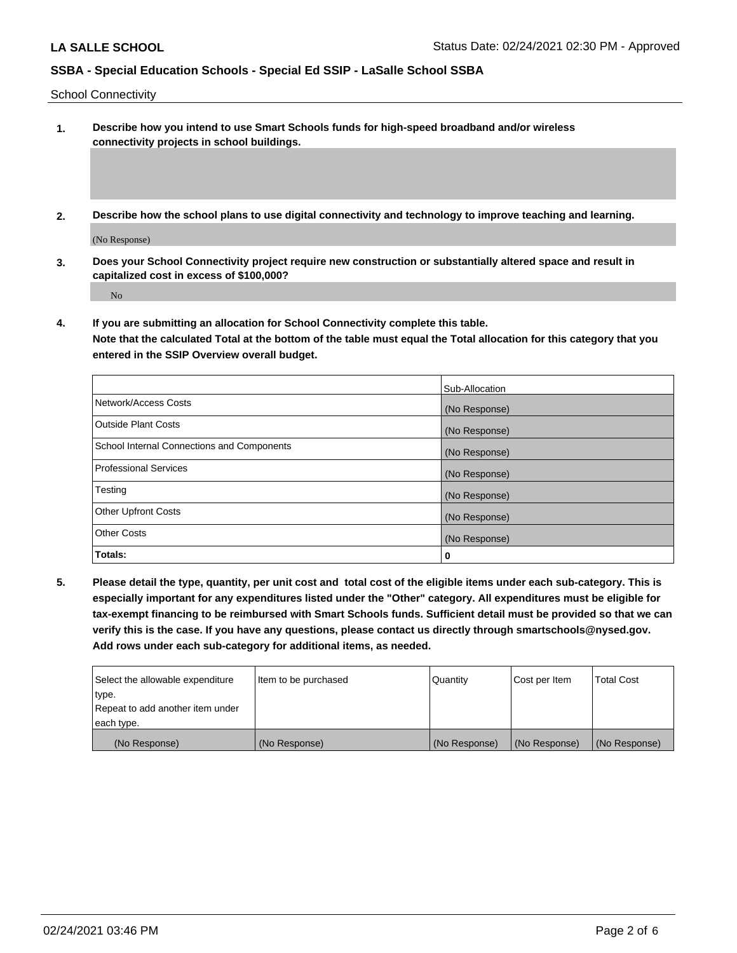School Connectivity

- **1. Describe how you intend to use Smart Schools funds for high-speed broadband and/or wireless connectivity projects in school buildings.**
- **2. Describe how the school plans to use digital connectivity and technology to improve teaching and learning.**

(No Response)

**3. Does your School Connectivity project require new construction or substantially altered space and result in capitalized cost in excess of \$100,000?**

No

**4. If you are submitting an allocation for School Connectivity complete this table. Note that the calculated Total at the bottom of the table must equal the Total allocation for this category that you entered in the SSIP Overview overall budget.** 

|                                            | Sub-Allocation |
|--------------------------------------------|----------------|
| Network/Access Costs                       | (No Response)  |
| <b>Outside Plant Costs</b>                 | (No Response)  |
| School Internal Connections and Components | (No Response)  |
| <b>Professional Services</b>               | (No Response)  |
| Testing                                    | (No Response)  |
| <b>Other Upfront Costs</b>                 | (No Response)  |
| <b>Other Costs</b>                         | (No Response)  |
| Totals:                                    | 0              |

**5. Please detail the type, quantity, per unit cost and total cost of the eligible items under each sub-category. This is especially important for any expenditures listed under the "Other" category. All expenditures must be eligible for tax-exempt financing to be reimbursed with Smart Schools funds. Sufficient detail must be provided so that we can verify this is the case. If you have any questions, please contact us directly through smartschools@nysed.gov. Add rows under each sub-category for additional items, as needed.**

| Select the allowable expenditure | Item to be purchased | l Quantitv    | Cost per Item | <b>Total Cost</b> |
|----------------------------------|----------------------|---------------|---------------|-------------------|
| type.                            |                      |               |               |                   |
| Repeat to add another item under |                      |               |               |                   |
| each type.                       |                      |               |               |                   |
| (No Response)                    | (No Response)        | (No Response) | (No Response) | (No Response)     |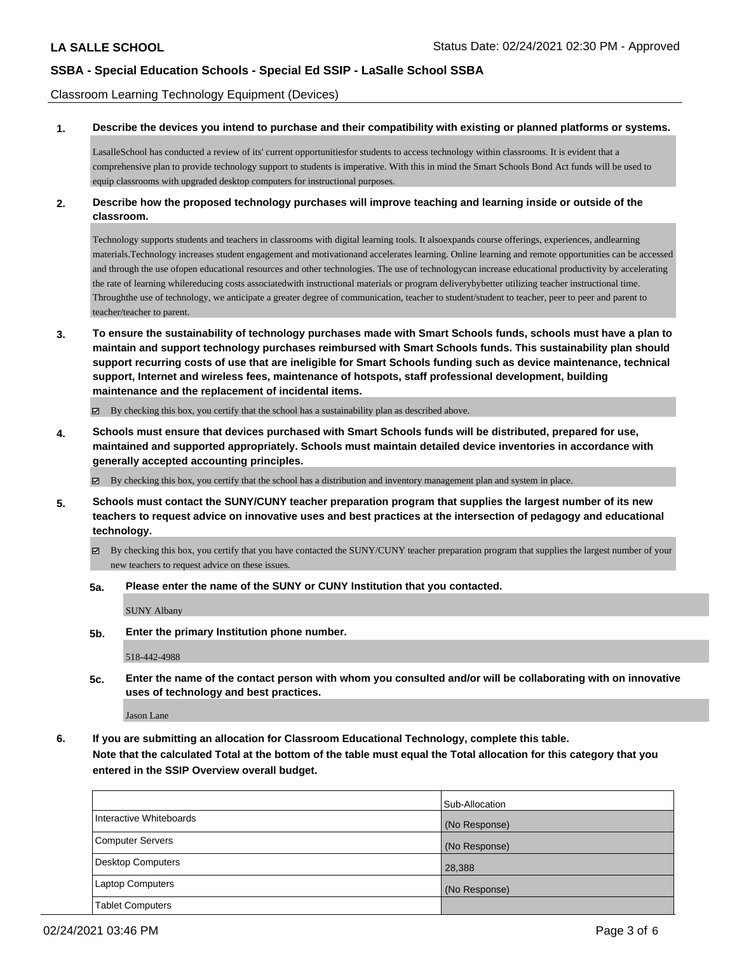Classroom Learning Technology Equipment (Devices)

#### **1. Describe the devices you intend to purchase and their compatibility with existing or planned platforms or systems.**

LasalleSchool has conducted a review of its' current opportunitiesfor students to access technology within classrooms. It is evident that a comprehensive plan to provide technology support to students is imperative. With this in mind the Smart Schools Bond Act funds will be used to equip classrooms with upgraded desktop computers for instructional purposes.

### **2. Describe how the proposed technology purchases will improve teaching and learning inside or outside of the classroom.**

Technology supports students and teachers in classrooms with digital learning tools. It alsoexpands course offerings, experiences, andlearning materials.Technology increases student engagement and motivationand accelerates learning. Online learning and remote opportunities can be accessed and through the use ofopen educational resources and other technologies. The use of technologycan increase educational productivity by accelerating the rate of learning whilereducing costs associatedwith instructional materials or program deliverybybetter utilizing teacher instructional time. Throughthe use of technology, we anticipate a greater degree of communication, teacher to student/student to teacher, peer to peer and parent to teacher/teacher to parent.

**3. To ensure the sustainability of technology purchases made with Smart Schools funds, schools must have a plan to maintain and support technology purchases reimbursed with Smart Schools funds. This sustainability plan should support recurring costs of use that are ineligible for Smart Schools funding such as device maintenance, technical support, Internet and wireless fees, maintenance of hotspots, staff professional development, building maintenance and the replacement of incidental items.**

By checking this box, you certify that the school has a sustainability plan as described above.

**4. Schools must ensure that devices purchased with Smart Schools funds will be distributed, prepared for use, maintained and supported appropriately. Schools must maintain detailed device inventories in accordance with generally accepted accounting principles.**

By checking this box, you certify that the school has a distribution and inventory management plan and system in place.

- **5. Schools must contact the SUNY/CUNY teacher preparation program that supplies the largest number of its new teachers to request advice on innovative uses and best practices at the intersection of pedagogy and educational technology.**
	- By checking this box, you certify that you have contacted the SUNY/CUNY teacher preparation program that supplies the largest number of your new teachers to request advice on these issues.
	- **5a. Please enter the name of the SUNY or CUNY Institution that you contacted.**

SUNY Albany

**5b. Enter the primary Institution phone number.**

518-442-4988

**5c. Enter the name of the contact person with whom you consulted and/or will be collaborating with on innovative uses of technology and best practices.**

Jason Lane

**6. If you are submitting an allocation for Classroom Educational Technology, complete this table. Note that the calculated Total at the bottom of the table must equal the Total allocation for this category that you entered in the SSIP Overview overall budget.**

|                         | Sub-Allocation |
|-------------------------|----------------|
|                         |                |
| Interactive Whiteboards | (No Response)  |
| Computer Servers        | (No Response)  |
| Desktop Computers       | 28,388         |
| <b>Laptop Computers</b> | (No Response)  |
| <b>Tablet Computers</b> |                |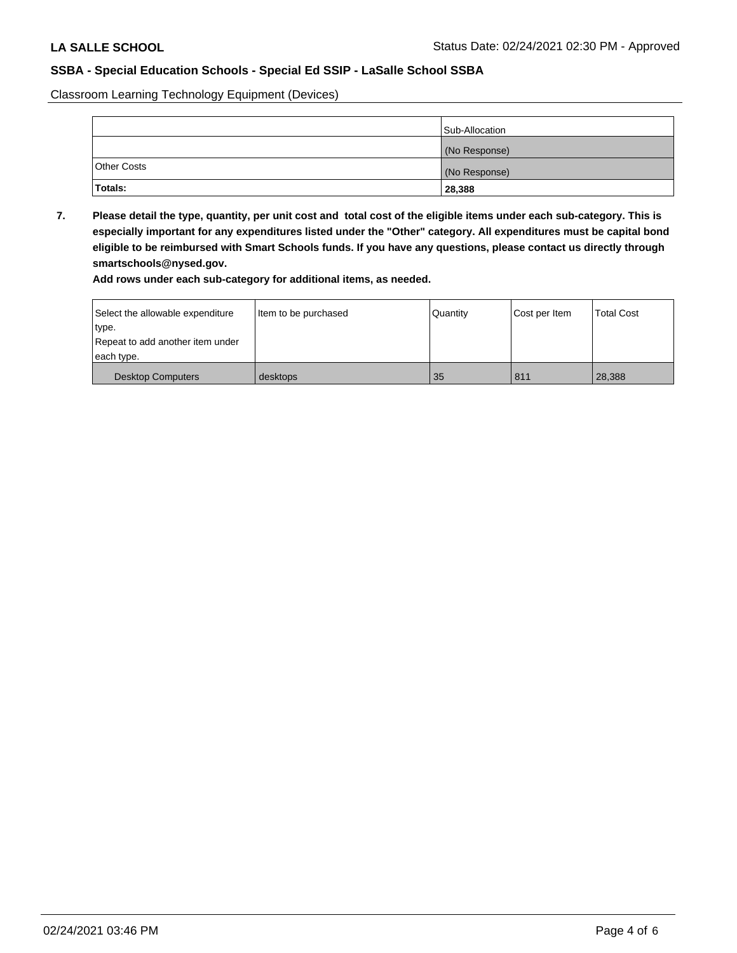Classroom Learning Technology Equipment (Devices)

|                    | Sub-Allocation |
|--------------------|----------------|
|                    | (No Response)  |
| <b>Other Costs</b> | (No Response)  |
| Totals:            | 28,388         |

**7. Please detail the type, quantity, per unit cost and total cost of the eligible items under each sub-category. This is especially important for any expenditures listed under the "Other" category. All expenditures must be capital bond eligible to be reimbursed with Smart Schools funds. If you have any questions, please contact us directly through smartschools@nysed.gov.**

**Add rows under each sub-category for additional items, as needed.**

| Select the allowable expenditure | Item to be purchased | Quantity | Cost per Item | <b>Total Cost</b> |
|----------------------------------|----------------------|----------|---------------|-------------------|
| type.                            |                      |          |               |                   |
| Repeat to add another item under |                      |          |               |                   |
| each type.                       |                      |          |               |                   |
| <b>Desktop Computers</b>         | desktops             | 35       | 811           | 28.388            |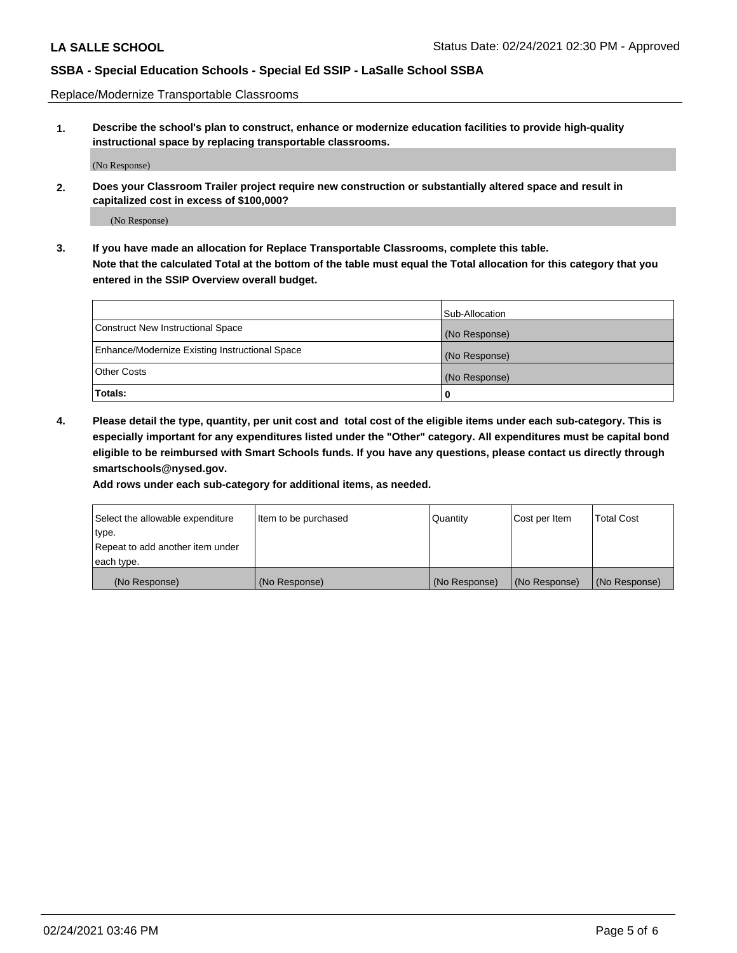Replace/Modernize Transportable Classrooms

**1. Describe the school's plan to construct, enhance or modernize education facilities to provide high-quality instructional space by replacing transportable classrooms.**

(No Response)

**2. Does your Classroom Trailer project require new construction or substantially altered space and result in capitalized cost in excess of \$100,000?**

(No Response)

**3. If you have made an allocation for Replace Transportable Classrooms, complete this table. Note that the calculated Total at the bottom of the table must equal the Total allocation for this category that you entered in the SSIP Overview overall budget.**

|                                                | Sub-Allocation |
|------------------------------------------------|----------------|
| Construct New Instructional Space              | (No Response)  |
| Enhance/Modernize Existing Instructional Space | (No Response)  |
| Other Costs                                    | (No Response)  |
| Totals:                                        | 0              |

**4. Please detail the type, quantity, per unit cost and total cost of the eligible items under each sub-category. This is especially important for any expenditures listed under the "Other" category. All expenditures must be capital bond eligible to be reimbursed with Smart Schools funds. If you have any questions, please contact us directly through smartschools@nysed.gov.**

**Add rows under each sub-category for additional items, as needed.**

| Select the allowable expenditure | Item to be purchased | Quantity      | Cost per Item | <b>Total Cost</b> |
|----------------------------------|----------------------|---------------|---------------|-------------------|
| 'type.                           |                      |               |               |                   |
| Repeat to add another item under |                      |               |               |                   |
| each type.                       |                      |               |               |                   |
| (No Response)                    | (No Response)        | (No Response) | (No Response) | (No Response)     |